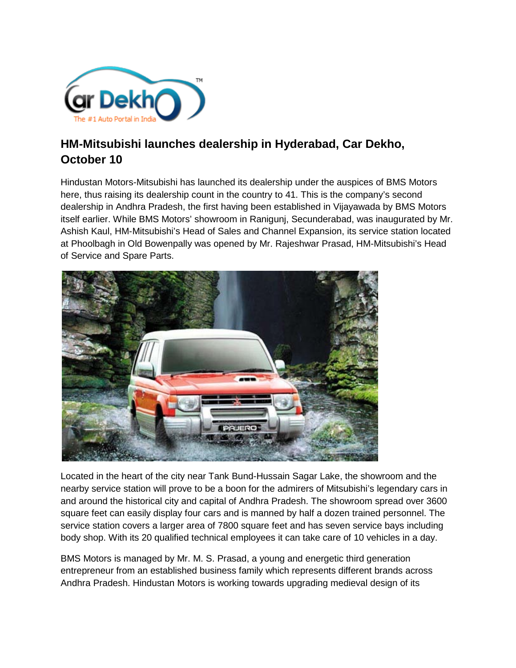

## **HM-Mitsubishi launches dealership in Hyderabad, Car Dekho, October 10**

Hindustan Motors-Mitsubishi has launched its dealership under the auspices of BMS Motors here, thus raising its dealership count in the country to 41. This is the company's second dealership in Andhra Pradesh, the first having been established in Vijayawada by BMS Motors itself earlier. While BMS Motors' showroom in Ranigunj, Secunderabad, was inaugurated by Mr. Ashish Kaul, HM-Mitsubishi's Head of Sales and Channel Expansion, its service station located at Phoolbagh in Old Bowenpally was opened by Mr. Rajeshwar Prasad, HM-Mitsubishi's Head of Service and Spare Parts.



Located in the heart of the city near Tank Bund-Hussain Sagar Lake, the showroom and the nearby service station will prove to be a boon for the admirers of Mitsubishi's legendary cars in and around the historical city and capital of Andhra Pradesh. The showroom spread over 3600 square feet can easily display four cars and is manned by half a dozen trained personnel. The service station covers a larger area of 7800 square feet and has seven service bays including body shop. With its 20 qualified technical employees it can take care of 10 vehicles in a day.

BMS Motors is managed by Mr. M. S. Prasad, a young and energetic third generation entrepreneur from an established business family which represents different brands across Andhra Pradesh. Hindustan Motors is working towards upgrading medieval design of its